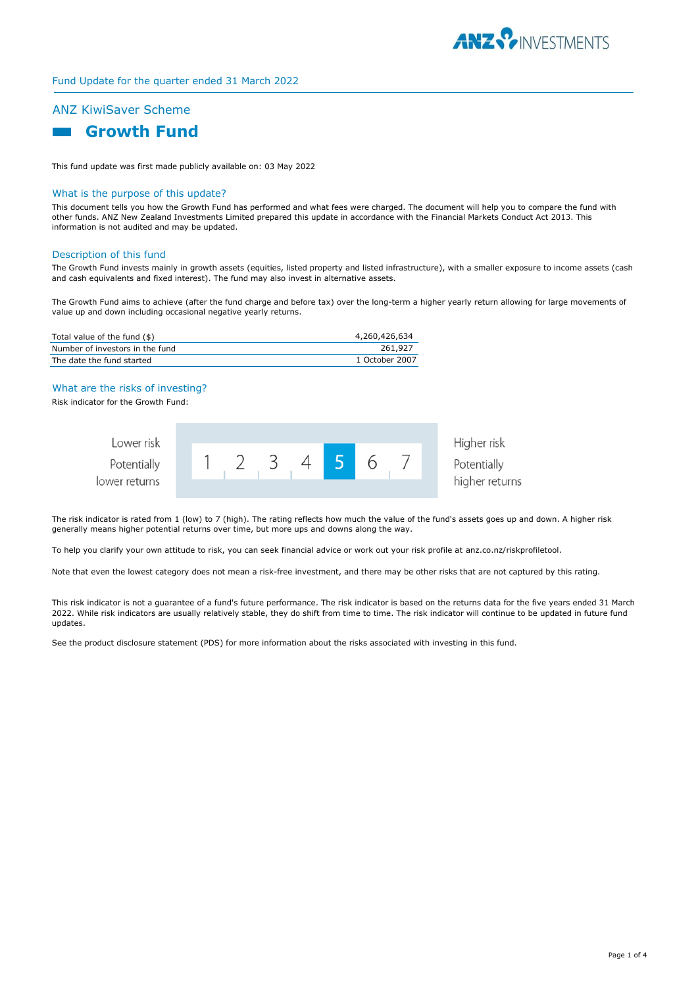

# Fund Update for the quarter ended 31 March 2022

# ANZ KiwiSaver Scheme



This fund update was first made publicly available on: 03 May 2022

#### What is the purpose of this update?

This document tells you how the Growth Fund has performed and what fees were charged. The document will help you to compare the fund with other funds. ANZ New Zealand Investments Limited prepared this update in accordance with the Financial Markets Conduct Act 2013. This information is not audited and may be updated.

#### Description of this fund

The Growth Fund invests mainly in growth assets (equities, listed property and listed infrastructure), with a smaller exposure to income assets (cash and cash equivalents and fixed interest). The fund may also invest in alternative assets.

The Growth Fund aims to achieve (after the fund charge and before tax) over the long-term a higher yearly return allowing for large movements of value up and down including occasional negative yearly returns.

| Total value of the fund (\$)    | 4,260,426,634  |
|---------------------------------|----------------|
| Number of investors in the fund | 261,927        |
| The date the fund started       | 1 October 2007 |

## What are the risks of investing?

Risk indicator for the Growth Fund:

| Lower risk    |  |  |  |  | Higher risk    |
|---------------|--|--|--|--|----------------|
| Potentially   |  |  |  |  | Potentially    |
| lower returns |  |  |  |  | higher returns |

The risk indicator is rated from 1 (low) to 7 (high). The rating reflects how much the value of the fund's assets goes up and down. A higher risk generally means higher potential returns over time, but more ups and downs along the way.

To help you clarify your own attitude to risk, you can seek financial advice or work out your risk profile at anz.co.nz/riskprofiletool.

Note that even the lowest category does not mean a risk-free investment, and there may be other risks that are not captured by this rating.

This risk indicator is not a guarantee of a fund's future performance. The risk indicator is based on the returns data for the five years ended 31 March 2022. While risk indicators are usually relatively stable, they do shift from time to time. The risk indicator will continue to be updated in future fund updates.

See the product disclosure statement (PDS) for more information about the risks associated with investing in this fund.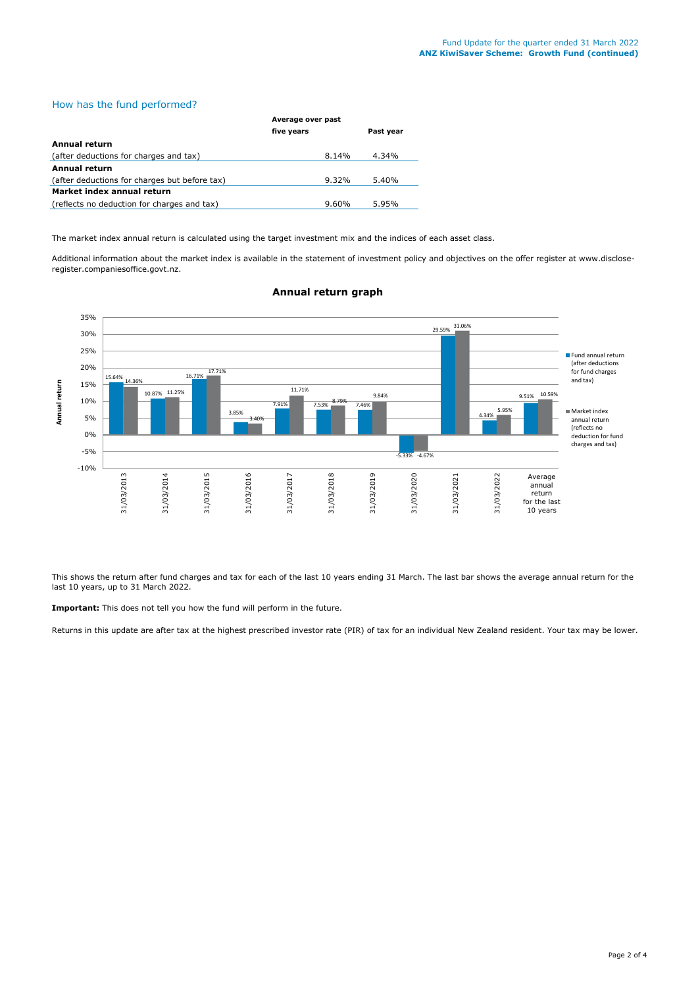# How has the fund performed?

|                                               | Average over past |           |  |
|-----------------------------------------------|-------------------|-----------|--|
|                                               | five years        | Past year |  |
| Annual return                                 |                   |           |  |
| (after deductions for charges and tax)        | 8.14%             | 4.34%     |  |
| Annual return                                 |                   |           |  |
| (after deductions for charges but before tax) | 9.32%             | 5.40%     |  |
| Market index annual return                    |                   |           |  |
| (reflects no deduction for charges and tax)   | $9.60\%$          | 5.95%     |  |

The market index annual return is calculated using the target investment mix and the indices of each asset class.

Additional information about the market index is available in the statement of investment policy and objectives on the offer register at www.discloseregister.companiesoffice.govt.nz.



## **Annual return graph**

This shows the return after fund charges and tax for each of the last 10 years ending 31 March. The last bar shows the average annual return for the last 10 years, up to 31 March 2022.

**Important:** This does not tell you how the fund will perform in the future.

Returns in this update are after tax at the highest prescribed investor rate (PIR) of tax for an individual New Zealand resident. Your tax may be lower.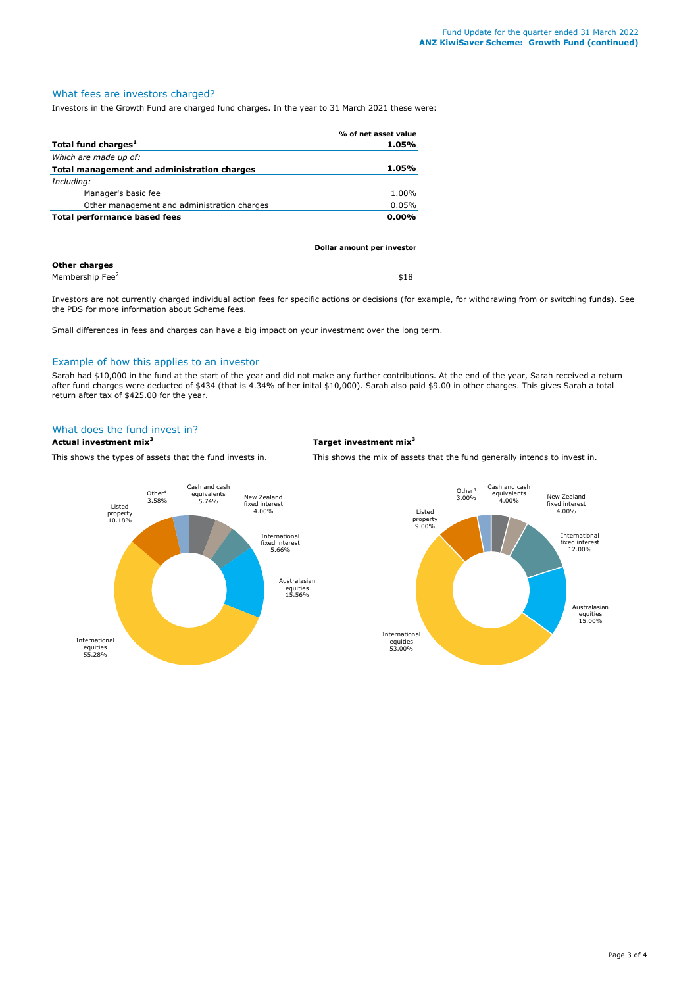# What fees are investors charged?

Investors in the Growth Fund are charged fund charges. In the year to 31 March 2021 these were:

|                                             | % of net asset value |
|---------------------------------------------|----------------------|
| Total fund charges <sup>1</sup>             | 1.05%                |
| Which are made up of:                       |                      |
| Total management and administration charges | 1.05%                |
| Including:                                  |                      |
| Manager's basic fee                         | 1.00%                |
| Other management and administration charges | 0.05%                |
| <b>Total performance based fees</b>         | $0.00\%$             |
|                                             |                      |

|                             | Dollar amount per investor |
|-----------------------------|----------------------------|
| <b>Other charges</b>        |                            |
| Membership Fee <sup>2</sup> | \$18                       |

Investors are not currently charged individual action fees for specific actions or decisions (for example, for withdrawing from or switching funds). See the PDS for more information about Scheme fees.

Small differences in fees and charges can have a big impact on your investment over the long term.

# Example of how this applies to an investor

Sarah had \$10,000 in the fund at the start of the year and did not make any further contributions. At the end of the year, Sarah received a return after fund charges were deducted of \$434 (that is 4.34% of her inital \$10,000). Sarah also paid \$9.00 in other charges. This gives Sarah a total return after tax of \$425.00 for the year.

### What does the fund invest in?

### **Actual investment mix<sup>3</sup> Target investment mix<sup>3</sup>**

This shows the types of assets that the fund invests in. This shows the mix of assets that the fund generally intends to invest in.